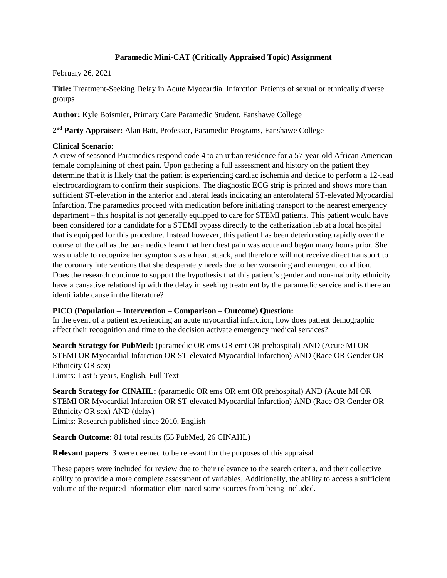# **Paramedic Mini-CAT (Critically Appraised Topic) Assignment**

### February 26, 2021

**Title:** Treatment-Seeking Delay in Acute Myocardial Infarction Patients of sexual or ethnically diverse groups

**Author:** Kyle Boismier, Primary Care Paramedic Student, Fanshawe College

**2 nd Party Appraiser:** Alan Batt, Professor, Paramedic Programs, Fanshawe College

### **Clinical Scenario:**

A crew of seasoned Paramedics respond code 4 to an urban residence for a 57-year-old African American female complaining of chest pain. Upon gathering a full assessment and history on the patient they determine that it is likely that the patient is experiencing cardiac ischemia and decide to perform a 12-lead electrocardiogram to confirm their suspicions. The diagnostic ECG strip is printed and shows more than sufficient ST-elevation in the anterior and lateral leads indicating an anterolateral ST-elevated Myocardial Infarction. The paramedics proceed with medication before initiating transport to the nearest emergency department – this hospital is not generally equipped to care for STEMI patients. This patient would have been considered for a candidate for a STEMI bypass directly to the catherization lab at a local hospital that is equipped for this procedure. Instead however, this patient has been deteriorating rapidly over the course of the call as the paramedics learn that her chest pain was acute and began many hours prior. She was unable to recognize her symptoms as a heart attack, and therefore will not receive direct transport to the coronary interventions that she desperately needs due to her worsening and emergent condition. Does the research continue to support the hypothesis that this patient's gender and non-majority ethnicity have a causative relationship with the delay in seeking treatment by the paramedic service and is there an identifiable cause in the literature?

# **PICO (Population – Intervention – Comparison – Outcome) Question:**

In the event of a patient experiencing an acute myocardial infarction, how does patient demographic affect their recognition and time to the decision activate emergency medical services?

**Search Strategy for PubMed:** (paramedic OR ems OR emt OR prehospital) AND (Acute MI OR STEMI OR Myocardial Infarction OR ST-elevated Myocardial Infarction) AND (Race OR Gender OR Ethnicity OR sex)

Limits: Last 5 years, English, Full Text

**Search Strategy for CINAHL:** (paramedic OR ems OR emt OR prehospital) AND (Acute MI OR STEMI OR Myocardial Infarction OR ST-elevated Myocardial Infarction) AND (Race OR Gender OR Ethnicity OR sex) AND (delay) Limits: Research published since 2010, English

**Search Outcome:** 81 total results (55 PubMed, 26 CINAHL)

**Relevant papers**: 3 were deemed to be relevant for the purposes of this appraisal

These papers were included for review due to their relevance to the search criteria, and their collective ability to provide a more complete assessment of variables. Additionally, the ability to access a sufficient volume of the required information eliminated some sources from being included.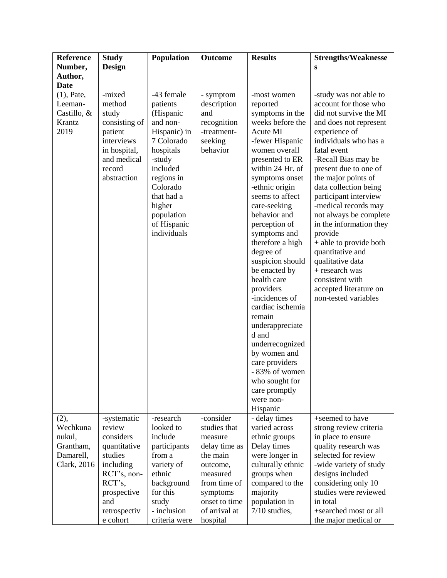| <b>Reference</b>                                          | <b>Study</b>                                                                                                                | Population                                                                                                                                                                                                     | <b>Outcome</b>                                                                       | <b>Results</b>                                                                                                                                                                                                                                                                                                                                                                                                                                                                                                                                                                                 | <b>Strengths/Weaknesse</b>                                                                                                                                                                                                                                                                                                                                                                                                                                                                                                             |
|-----------------------------------------------------------|-----------------------------------------------------------------------------------------------------------------------------|----------------------------------------------------------------------------------------------------------------------------------------------------------------------------------------------------------------|--------------------------------------------------------------------------------------|------------------------------------------------------------------------------------------------------------------------------------------------------------------------------------------------------------------------------------------------------------------------------------------------------------------------------------------------------------------------------------------------------------------------------------------------------------------------------------------------------------------------------------------------------------------------------------------------|----------------------------------------------------------------------------------------------------------------------------------------------------------------------------------------------------------------------------------------------------------------------------------------------------------------------------------------------------------------------------------------------------------------------------------------------------------------------------------------------------------------------------------------|
| Number,                                                   | <b>Design</b>                                                                                                               |                                                                                                                                                                                                                |                                                                                      |                                                                                                                                                                                                                                                                                                                                                                                                                                                                                                                                                                                                | S                                                                                                                                                                                                                                                                                                                                                                                                                                                                                                                                      |
| Author,                                                   |                                                                                                                             |                                                                                                                                                                                                                |                                                                                      |                                                                                                                                                                                                                                                                                                                                                                                                                                                                                                                                                                                                |                                                                                                                                                                                                                                                                                                                                                                                                                                                                                                                                        |
| <b>Date</b>                                               |                                                                                                                             |                                                                                                                                                                                                                |                                                                                      |                                                                                                                                                                                                                                                                                                                                                                                                                                                                                                                                                                                                |                                                                                                                                                                                                                                                                                                                                                                                                                                                                                                                                        |
| $(1)$ , Pate,<br>Leeman-<br>Castillo, &<br>Krantz<br>2019 | -mixed<br>method<br>study<br>consisting of<br>patient<br>interviews<br>in hospital,<br>and medical<br>record<br>abstraction | -43 female<br>patients<br>(Hispanic<br>and non-<br>Hispanic) in<br>7 Colorado<br>hospitals<br>-study<br>included<br>regions in<br>Colorado<br>that had a<br>higher<br>population<br>of Hispanic<br>individuals | - symptom<br>description<br>and<br>recognition<br>-treatment-<br>seeking<br>behavior | -most women<br>reported<br>symptoms in the<br>weeks before the<br>Acute MI<br>-fewer Hispanic<br>women overall<br>presented to ER<br>within 24 Hr. of<br>symptoms onset<br>-ethnic origin<br>seems to affect<br>care-seeking<br>behavior and<br>perception of<br>symptoms and<br>therefore a high<br>degree of<br>suspicion should<br>be enacted by<br>health care<br>providers<br>-incidences of<br>cardiac ischemia<br>remain<br>underappreciate<br>d and<br>underrecognized<br>by women and<br>care providers<br>- 83% of women<br>who sought for<br>care promptly<br>were non-<br>Hispanic | -study was not able to<br>account for those who<br>did not survive the MI<br>and does not represent<br>experience of<br>individuals who has a<br>fatal event<br>-Recall Bias may be<br>present due to one of<br>the major points of<br>data collection being<br>participant interview<br>-medical records may<br>not always be complete<br>in the information they<br>provide<br>+ able to provide both<br>quantitative and<br>qualitative data<br>+ research was<br>consistent with<br>accepted literature on<br>non-tested variables |
| (2),                                                      | -systematic                                                                                                                 | -research                                                                                                                                                                                                      | -consider                                                                            | - delay times                                                                                                                                                                                                                                                                                                                                                                                                                                                                                                                                                                                  | +seemed to have                                                                                                                                                                                                                                                                                                                                                                                                                                                                                                                        |
| Wechkuna                                                  | review                                                                                                                      | looked to                                                                                                                                                                                                      | studies that                                                                         | varied across                                                                                                                                                                                                                                                                                                                                                                                                                                                                                                                                                                                  | strong review criteria                                                                                                                                                                                                                                                                                                                                                                                                                                                                                                                 |
| nukul,                                                    | considers                                                                                                                   | include                                                                                                                                                                                                        | measure                                                                              | ethnic groups                                                                                                                                                                                                                                                                                                                                                                                                                                                                                                                                                                                  | in place to ensure                                                                                                                                                                                                                                                                                                                                                                                                                                                                                                                     |
| Grantham,                                                 | quantitative                                                                                                                | participants                                                                                                                                                                                                   | delay time as                                                                        | Delay times                                                                                                                                                                                                                                                                                                                                                                                                                                                                                                                                                                                    | quality research was                                                                                                                                                                                                                                                                                                                                                                                                                                                                                                                   |
| Damarell,                                                 | studies                                                                                                                     | from a                                                                                                                                                                                                         | the main                                                                             | were longer in                                                                                                                                                                                                                                                                                                                                                                                                                                                                                                                                                                                 | selected for review                                                                                                                                                                                                                                                                                                                                                                                                                                                                                                                    |
| Clark, 2016                                               | including                                                                                                                   | variety of<br>ethnic                                                                                                                                                                                           | outcome,<br>measured                                                                 | culturally ethnic                                                                                                                                                                                                                                                                                                                                                                                                                                                                                                                                                                              | -wide variety of study                                                                                                                                                                                                                                                                                                                                                                                                                                                                                                                 |
|                                                           | RCT's, non-<br>$\mathsf{RCT}$ 's,                                                                                           | background                                                                                                                                                                                                     | from time of                                                                         | groups when<br>compared to the                                                                                                                                                                                                                                                                                                                                                                                                                                                                                                                                                                 | designs included<br>considering only 10                                                                                                                                                                                                                                                                                                                                                                                                                                                                                                |
|                                                           | prospective                                                                                                                 | for this                                                                                                                                                                                                       | symptoms                                                                             | majority                                                                                                                                                                                                                                                                                                                                                                                                                                                                                                                                                                                       | studies were reviewed                                                                                                                                                                                                                                                                                                                                                                                                                                                                                                                  |
|                                                           | and                                                                                                                         | study                                                                                                                                                                                                          | onset to time                                                                        | population in                                                                                                                                                                                                                                                                                                                                                                                                                                                                                                                                                                                  | in total                                                                                                                                                                                                                                                                                                                                                                                                                                                                                                                               |
|                                                           | retrospectiv                                                                                                                | - inclusion                                                                                                                                                                                                    | of arrival at                                                                        | $7/10$ studies,                                                                                                                                                                                                                                                                                                                                                                                                                                                                                                                                                                                | +searched most or all                                                                                                                                                                                                                                                                                                                                                                                                                                                                                                                  |
|                                                           | e cohort                                                                                                                    | criteria were                                                                                                                                                                                                  | hospital                                                                             |                                                                                                                                                                                                                                                                                                                                                                                                                                                                                                                                                                                                | the major medical or                                                                                                                                                                                                                                                                                                                                                                                                                                                                                                                   |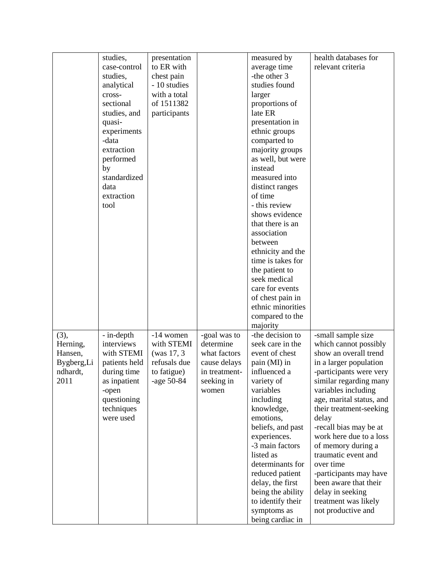|             | studies,                  | presentation |               | measured by                  | health databases for                                |
|-------------|---------------------------|--------------|---------------|------------------------------|-----------------------------------------------------|
|             | case-control              | to ER with   |               | average time                 | relevant criteria                                   |
|             | studies,                  | chest pain   |               | -the other 3                 |                                                     |
|             | analytical                | - 10 studies |               | studies found                |                                                     |
|             | cross-                    | with a total |               | larger                       |                                                     |
|             | sectional                 | of 1511382   |               | proportions of               |                                                     |
|             | studies, and              | participants |               | late ER                      |                                                     |
|             | quasi-                    |              |               | presentation in              |                                                     |
|             | experiments               |              |               | ethnic groups                |                                                     |
|             | -data                     |              |               | comparted to                 |                                                     |
|             | extraction                |              |               | majority groups              |                                                     |
|             | performed                 |              |               | as well, but were            |                                                     |
|             | by                        |              |               | instead                      |                                                     |
|             | standardized              |              |               | measured into                |                                                     |
|             | data                      |              |               | distinct ranges              |                                                     |
|             | extraction                |              |               | of time                      |                                                     |
|             | tool                      |              |               | - this review                |                                                     |
|             |                           |              |               | shows evidence               |                                                     |
|             |                           |              |               | that there is an             |                                                     |
|             |                           |              |               | association                  |                                                     |
|             |                           |              |               | between                      |                                                     |
|             |                           |              |               | ethnicity and the            |                                                     |
|             |                           |              |               | time is takes for            |                                                     |
|             |                           |              |               | the patient to               |                                                     |
|             |                           |              |               | seek medical                 |                                                     |
|             |                           |              |               | care for events              |                                                     |
|             |                           |              |               | of chest pain in             |                                                     |
|             |                           |              |               | ethnic minorities            |                                                     |
|             |                           |              |               | compared to the              |                                                     |
|             |                           |              |               | majority                     |                                                     |
| (3),        | - in-depth                | -14 women    | -goal was to  | -the decision to             | -small sample size                                  |
| Herning,    | interviews                | with STEMI   | determine     | seek care in the             | which cannot possibly                               |
| Hansen,     | with STEMI                | (was 17, 3)  | what factors  | event of chest               | show an overall trend                               |
| Bygberg, Li | patients held             | refusals due | cause delays  | pain (MI) in                 | in a larger population                              |
| ndhardt,    | during time               | to fatigue)  | in treatment- | influenced a                 | -participants were very                             |
| 2011        |                           | -age 50-84   | seeking in    | variety of                   |                                                     |
|             | as inpatient              |              |               | variables                    | similar regarding many                              |
|             | -open                     |              | women         | including                    | variables including                                 |
|             | questioning<br>techniques |              |               | knowledge,                   | age, marital status, and<br>their treatment-seeking |
|             | were used                 |              |               | emotions,                    |                                                     |
|             |                           |              |               | beliefs, and past            | delay                                               |
|             |                           |              |               | experiences.                 | -recall bias may be at<br>work here due to a loss   |
|             |                           |              |               |                              |                                                     |
|             |                           |              |               | -3 main factors<br>listed as | of memory during a                                  |
|             |                           |              |               | determinants for             | traumatic event and<br>over time                    |
|             |                           |              |               |                              |                                                     |
|             |                           |              |               | reduced patient              | -participants may have                              |
|             |                           |              |               | delay, the first             | been aware that their                               |
|             |                           |              |               | being the ability            | delay in seeking                                    |
|             |                           |              |               | to identify their            | treatment was likely                                |
|             |                           |              |               | symptoms as                  | not productive and                                  |
|             |                           |              |               | being cardiac in             |                                                     |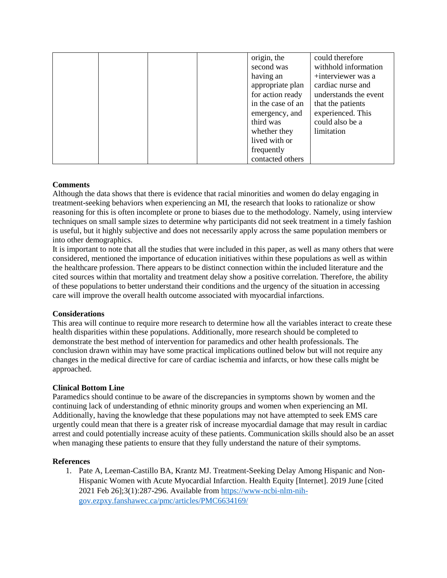|  |  | origin, the       | could therefore       |
|--|--|-------------------|-----------------------|
|  |  | second was        | withhold information  |
|  |  | having an         | +interviewer was a    |
|  |  | appropriate plan  | cardiac nurse and     |
|  |  | for action ready  | understands the event |
|  |  | in the case of an | that the patients     |
|  |  | emergency, and    | experienced. This     |
|  |  | third was         | could also be a       |
|  |  | whether they      | limitation            |
|  |  | lived with or     |                       |
|  |  | frequently        |                       |
|  |  | contacted others  |                       |

# **Comments**

Although the data shows that there is evidence that racial minorities and women do delay engaging in treatment-seeking behaviors when experiencing an MI, the research that looks to rationalize or show reasoning for this is often incomplete or prone to biases due to the methodology. Namely, using interview techniques on small sample sizes to determine why participants did not seek treatment in a timely fashion is useful, but it highly subjective and does not necessarily apply across the same population members or into other demographics.

It is important to note that all the studies that were included in this paper, as well as many others that were considered, mentioned the importance of education initiatives within these populations as well as within the healthcare profession. There appears to be distinct connection within the included literature and the cited sources within that mortality and treatment delay show a positive correlation. Therefore, the ability of these populations to better understand their conditions and the urgency of the situation in accessing care will improve the overall health outcome associated with myocardial infarctions.

### **Considerations**

This area will continue to require more research to determine how all the variables interact to create these health disparities within these populations. Additionally, more research should be completed to demonstrate the best method of intervention for paramedics and other health professionals. The conclusion drawn within may have some practical implications outlined below but will not require any changes in the medical directive for care of cardiac ischemia and infarcts, or how these calls might be approached.

### **Clinical Bottom Line**

Paramedics should continue to be aware of the discrepancies in symptoms shown by women and the continuing lack of understanding of ethnic minority groups and women when experiencing an MI. Additionally, having the knowledge that these populations may not have attempted to seek EMS care urgently could mean that there is a greater risk of increase myocardial damage that may result in cardiac arrest and could potentially increase acuity of these patients. Communication skills should also be an asset when managing these patients to ensure that they fully understand the nature of their symptoms.

### **References**

1. Pate A, Leeman-Castillo BA, Krantz MJ. Treatment-Seeking Delay Among Hispanic and Non-Hispanic Women with Acute Myocardial Infarction. Health Equity [Internet]. 2019 June [cited 2021 Feb 26];3(1):287-296. Available from [https://www-ncbi-nlm-nih](https://www-ncbi-nlm-nih-gov.ezpxy.fanshawec.ca/pmc/articles/PMC6634169/)[gov.ezpxy.fanshawec.ca/pmc/articles/PMC6634169/](https://www-ncbi-nlm-nih-gov.ezpxy.fanshawec.ca/pmc/articles/PMC6634169/)